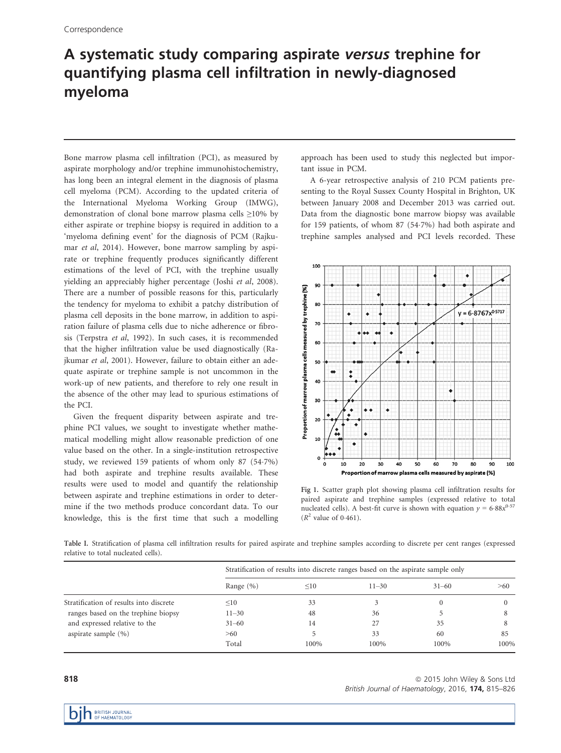## A systematic study comparing aspirate versus trephine for quantifying plasma cell infiltration in newly-diagnosed myeloma

Bone marrow plasma cell infiltration (PCI), as measured by aspirate morphology and/or trephine immunohistochemistry, has long been an integral element in the diagnosis of plasma cell myeloma (PCM). According to the updated criteria of the International Myeloma Working Group (IMWG), demonstration of clonal bone marrow plasma cells ≥10% by either aspirate or trephine biopsy is required in addition to a 'myeloma defining event' for the diagnosis of PCM (Rajkumar et al, 2014). However, bone marrow sampling by aspirate or trephine frequently produces significantly different estimations of the level of PCI, with the trephine usually yielding an appreciably higher percentage (Joshi et al, 2008). There are a number of possible reasons for this, particularly the tendency for myeloma to exhibit a patchy distribution of plasma cell deposits in the bone marrow, in addition to aspiration failure of plasma cells due to niche adherence or fibrosis (Terpstra et al, 1992). In such cases, it is recommended that the higher infiltration value be used diagnostically (Rajkumar et al, 2001). However, failure to obtain either an adequate aspirate or trephine sample is not uncommon in the work-up of new patients, and therefore to rely one result in the absence of the other may lead to spurious estimations of the PCI.

Given the frequent disparity between aspirate and trephine PCI values, we sought to investigate whether mathematical modelling might allow reasonable prediction of one value based on the other. In a single-institution retrospective study, we reviewed 159 patients of whom only 87 (547%) had both aspirate and trephine results available. These results were used to model and quantify the relationship between aspirate and trephine estimations in order to determine if the two methods produce concordant data. To our knowledge, this is the first time that such a modelling

approach has been used to study this neglected but important issue in PCM.

A 6-year retrospective analysis of 210 PCM patients presenting to the Royal Sussex County Hospital in Brighton, UK between January 2008 and December 2013 was carried out. Data from the diagnostic bone marrow biopsy was available for 159 patients, of whom 87 (547%) had both aspirate and trephine samples analysed and PCI levels recorded. These



Fig 1. Scatter graph plot showing plasma cell infiltration results for paired aspirate and trephine samples (expressed relative to total nucleated cells). A best-fit curve is shown with equation  $y = 6.88x^{0.57}$  $(R^2$  value of 0.461).

Table I. Stratification of plasma cell infiltration results for paired aspirate and trephine samples according to discrete per cent ranges (expressed relative to total nucleated cells).

|                                         | Stratification of results into discrete ranges based on the aspirate sample only |        |           |           |      |
|-----------------------------------------|----------------------------------------------------------------------------------|--------|-----------|-----------|------|
|                                         | Range $(\% )$                                                                    | $<$ 10 | $11 - 30$ | $31 - 60$ | >60  |
| Stratification of results into discrete | $\leq 10$                                                                        | 33     |           |           |      |
| ranges based on the trephine biopsy     | $11 - 30$                                                                        | 48     | 36        |           |      |
| and expressed relative to the           | $31 - 60$                                                                        | 14     | 27        | 35        |      |
| aspirate sample $(\% )$                 | >60                                                                              |        | 33        | 60        | 85   |
|                                         | Total                                                                            | 100%   | 100%      | 100%      | 100% |

818 ª 2015 John Wiley & Sons Ltd British Journal of Haematology, 2016, 174, 815-826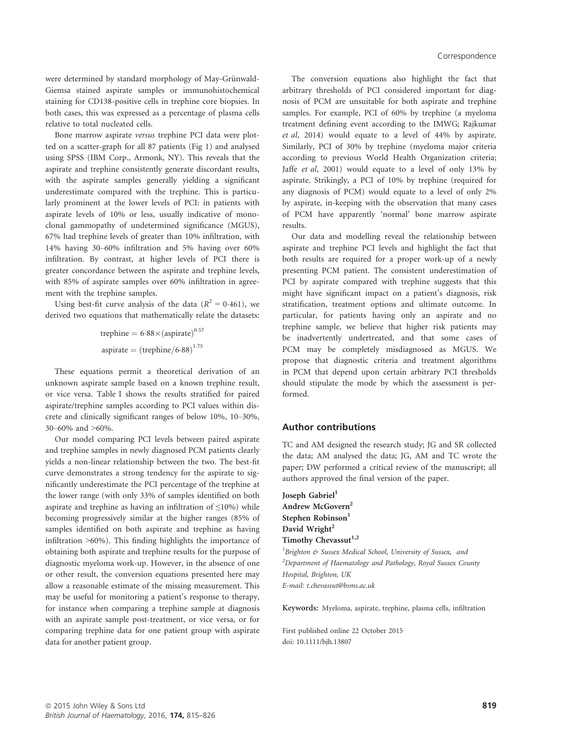were determined by standard morphology of May-Grünwald-Giemsa stained aspirate samples or immunohistochemical staining for CD138-positive cells in trephine core biopsies. In both cases, this was expressed as a percentage of plasma cells relative to total nucleated cells.

Bone marrow aspirate versus trephine PCI data were plotted on a scatter-graph for all 87 patients (Fig 1) and analysed using SPSS (IBM Corp., Armonk, NY). This reveals that the aspirate and trephine consistently generate discordant results, with the aspirate samples generally yielding a significant underestimate compared with the trephine. This is particularly prominent at the lower levels of PCI: in patients with aspirate levels of 10% or less, usually indicative of monoclonal gammopathy of undetermined significance (MGUS), 67% had trephine levels of greater than 10% infiltration, with 14% having 30–60% infiltration and 5% having over 60% infiltration. By contrast, at higher levels of PCI there is greater concordance between the aspirate and trephine levels, with 85% of aspirate samples over 60% infiltration in agreement with the trephine samples.

Using best-fit curve analysis of the data ( $R^2 = 0.461$ ), we derived two equations that mathematically relate the datasets:

> trephine  $= 6.88 \times \text{(aspirate)}^{0.57}$ aspirate  $=$   $(t$ rephine/6·88 $)^{1.75}$

These equations permit a theoretical derivation of an unknown aspirate sample based on a known trephine result, or vice versa. Table I shows the results stratified for paired aspirate/trephine samples according to PCI values within discrete and clinically significant ranges of below 10%, 10–30%, 30–60% and >60%.

Our model comparing PCI levels between paired aspirate and trephine samples in newly diagnosed PCM patients clearly yields a non-linear relationship between the two. The best-fit curve demonstrates a strong tendency for the aspirate to significantly underestimate the PCI percentage of the trephine at the lower range (with only 33% of samples identified on both aspirate and trephine as having an infiltration of  $\leq$ 10%) while becoming progressively similar at the higher ranges (85% of samples identified on both aspirate and trephine as having infiltration >60%). This finding highlights the importance of obtaining both aspirate and trephine results for the purpose of diagnostic myeloma work-up. However, in the absence of one or other result, the conversion equations presented here may allow a reasonable estimate of the missing measurement. This may be useful for monitoring a patient's response to therapy, for instance when comparing a trephine sample at diagnosis with an aspirate sample post-treatment, or vice versa, or for comparing trephine data for one patient group with aspirate data for another patient group.

The conversion equations also highlight the fact that arbitrary thresholds of PCI considered important for diagnosis of PCM are unsuitable for both aspirate and trephine samples. For example, PCI of 60% by trephine (a myeloma treatment defining event according to the IMWG; Rajkumar et al, 2014) would equate to a level of 44% by aspirate. Similarly, PCI of 30% by trephine (myeloma major criteria according to previous World Health Organization criteria; Jaffe et al, 2001) would equate to a level of only 13% by aspirate. Strikingly, a PCI of 10% by trephine (required for any diagnosis of PCM) would equate to a level of only 2% by aspirate, in-keeping with the observation that many cases of PCM have apparently 'normal' bone marrow aspirate results.

Our data and modelling reveal the relationship between aspirate and trephine PCI levels and highlight the fact that both results are required for a proper work-up of a newly presenting PCM patient. The consistent underestimation of PCI by aspirate compared with trephine suggests that this might have significant impact on a patient's diagnosis, risk stratification, treatment options and ultimate outcome. In particular, for patients having only an aspirate and no trephine sample, we believe that higher risk patients may be inadvertently undertreated, and that some cases of PCM may be completely misdiagnosed as MGUS. We propose that diagnostic criteria and treatment algorithms in PCM that depend upon certain arbitrary PCI thresholds should stipulate the mode by which the assessment is performed.

## Author contributions

TC and AM designed the research study; JG and SR collected the data; AM analysed the data; JG, AM and TC wrote the paper; DW performed a critical review of the manuscript; all authors approved the final version of the paper.

Ioseph Gabriel<sup>1</sup> Andrew McGovern<sup>2</sup> Stephen Robinson<sup>1</sup> David Wright<sup>2</sup> Timothy Chevassut<sup>1,2</sup>

<sup>1</sup> Brighton & Sussex Medical School, University of Sussex, and  $2$ Department of Haematology and Pathology, Royal Sussex County Hospital, Brighton, UK E-mail: t.chevassut@bsms.ac.uk

Keywords: Myeloma, aspirate, trephine, plasma cells, infiltration

First published online 22 October 2015 doi: 10.1111/bjh.13807